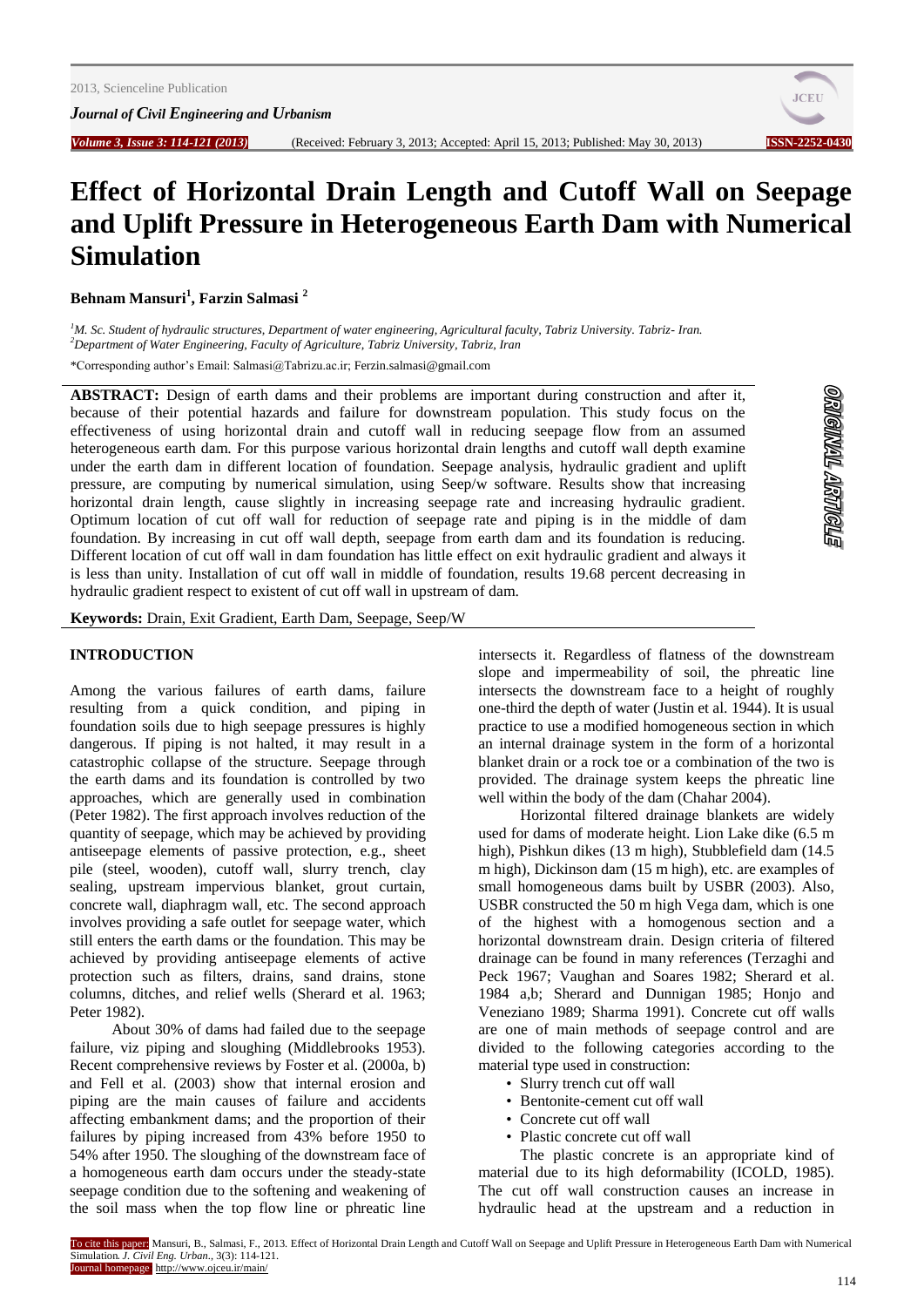*Journal of Civil Engineering and Urbanism*



# **Effect of Horizontal Drain Length and Cutoff Wall on Seepage and Uplift Pressure in Heterogeneous Earth Dam with Numerical Simulation**

**Behnam Mansuri<sup>1</sup> , Farzin Salmasi <sup>2</sup>**

*<sup>1</sup>M. Sc. Student of hydraulic structures, Department of water engineering, Agricultural faculty, Tabriz University. Tabriz- Iran. <sup>2</sup>Department of Water Engineering, Faculty of Agriculture, Tabriz University, Tabriz, Iran*

\*Corresponding author's Email: Salmasi@Tabrizu.ac.ir[; Ferzin.salmasi@gmail.com](mailto:Ferzin.salmasi@gmail.com)

**ABSTRACT:** Design of earth dams and their problems are important during construction and after it, because of their potential hazards and failure for downstream population. This study focus on the effectiveness of using horizontal drain and cutoff wall in reducing seepage flow from an assumed heterogeneous earth dam. For this purpose various horizontal drain lengths and cutoff wall depth examine under the earth dam in different location of foundation. Seepage analysis, hydraulic gradient and uplift pressure, are computing by numerical simulation, using Seep/w software. Results show that increasing horizontal drain length, cause slightly in increasing seepage rate and increasing hydraulic gradient. Optimum location of cut off wall for reduction of seepage rate and piping is in the middle of dam foundation. By increasing in cut off wall depth, seepage from earth dam and its foundation is reducing. Different location of cut off wall in dam foundation has little effect on exit hydraulic gradient and always it is less than unity. Installation of cut off wall in middle of foundation, results 19.68 percent decreasing in hydraulic gradient respect to existent of cut off wall in upstream of dam.

**Keywords:** Drain, Exit Gradient, Earth Dam, Seepage, Seep/W

# **INTRODUCTION**

Among the various failures of earth dams, failure resulting from a quick condition, and piping in foundation soils due to high seepage pressures is highly dangerous. If piping is not halted, it may result in a catastrophic collapse of the structure. Seepage through the earth dams and its foundation is controlled by two approaches, which are generally used in combination (Peter 1982). The first approach involves reduction of the quantity of seepage, which may be achieved by providing antiseepage elements of passive protection, e.g., sheet pile (steel, wooden), cutoff wall, slurry trench, clay sealing, upstream impervious blanket, grout curtain, concrete wall, diaphragm wall, etc. The second approach involves providing a safe outlet for seepage water, which still enters the earth dams or the foundation. This may be achieved by providing antiseepage elements of active protection such as filters, drains, sand drains, stone columns, ditches, and relief wells (Sherard et al. 1963; Peter 1982).

About 30% of dams had failed due to the seepage failure, viz piping and sloughing (Middlebrooks 1953). Recent comprehensive reviews by Foster et al. (2000a, b) and Fell et al. (2003) show that internal erosion and piping are the main causes of failure and accidents affecting embankment dams; and the proportion of their failures by piping increased from 43% before 1950 to 54% after 1950. The sloughing of the downstream face of a homogeneous earth dam occurs under the steady-state seepage condition due to the softening and weakening of the soil mass when the top flow line or phreatic line intersects it. Regardless of flatness of the downstream slope and impermeability of soil, the phreatic line intersects the downstream face to a height of roughly one-third the depth of water (Justin et al. 1944). It is usual practice to use a modified homogeneous section in which an internal drainage system in the form of a horizontal blanket drain or a rock toe or a combination of the two is provided. The drainage system keeps the phreatic line well within the body of the dam (Chahar 2004).

Horizontal filtered drainage blankets are widely used for dams of moderate height. Lion Lake dike (6.5 m high), Pishkun dikes (13 m high), Stubblefield dam (14.5 m high), Dickinson dam (15 m high), etc. are examples of small homogeneous dams built by USBR (2003). Also, USBR constructed the 50 m high Vega dam, which is one of the highest with a homogenous section and a horizontal downstream drain. Design criteria of filtered drainage can be found in many references (Terzaghi and Peck 1967; Vaughan and Soares 1982; Sherard et al. 1984 a,b; Sherard and Dunnigan 1985; Honjo and Veneziano 1989; Sharma 1991). Concrete cut off walls are one of main methods of seepage control and are divided to the following categories according to the material type used in construction:

- Slurry trench cut off wall
- Bentonite-cement cut off wall
- Concrete cut off wall
- Plastic concrete cut off wall

The plastic concrete is an appropriate kind of material due to its high deformability (ICOLD, 1985). The cut off wall construction causes an increase in hydraulic head at the upstream and a reduction in

To cite this paper: Mansuri, B., Salmasi, F., 2013. Effect of Horizontal Drain Length and Cutoff Wall on Seepage and Uplift Pressure in Heterogeneous Earth Dam with Numerical Simulation. *J. Civil Eng. Urban*., 3(3): 114-121. Journal homepage: http://www.ojceu.ir/main/

**STONARY TRANGIEO**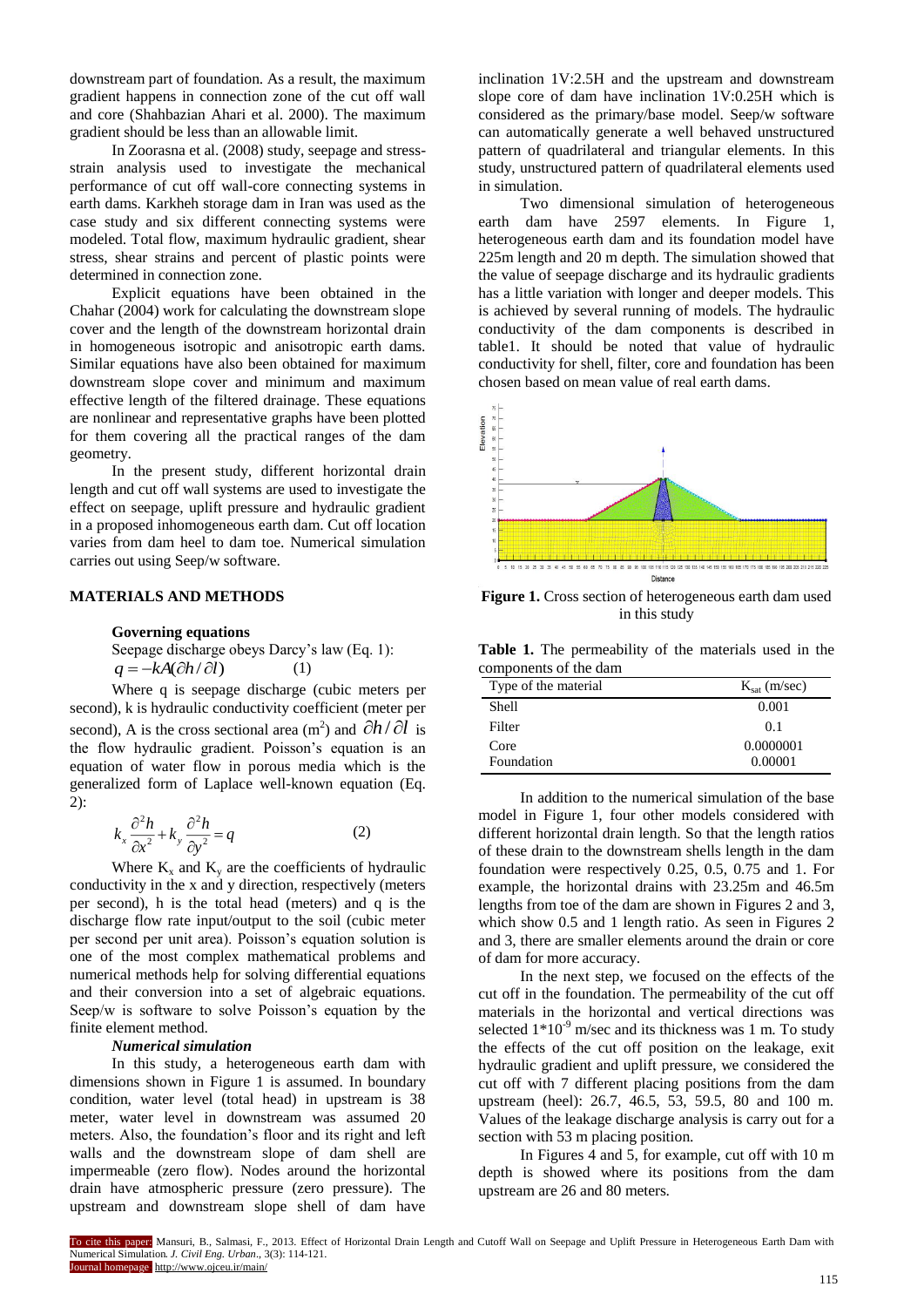downstream part of foundation. As a result, the maximum gradient happens in connection zone of the cut off wall and core (Shahbazian Ahari et al. 2000). The maximum gradient should be less than an allowable limit.

In Zoorasna et al. (2008) study, seepage and stressstrain analysis used to investigate the mechanical performance of cut off wall-core connecting systems in earth dams. Karkheh storage dam in Iran was used as the case study and six different connecting systems were modeled. Total flow, maximum hydraulic gradient, shear stress, shear strains and percent of plastic points were determined in connection zone.

Explicit equations have been obtained in the Chahar (2004) work for calculating the downstream slope cover and the length of the downstream horizontal drain in homogeneous isotropic and anisotropic earth dams. Similar equations have also been obtained for maximum downstream slope cover and minimum and maximum effective length of the filtered drainage. These equations are nonlinear and representative graphs have been plotted for them covering all the practical ranges of the dam geometry.

In the present study, different horizontal drain length and cut off wall systems are used to investigate the effect on seepage, uplift pressure and hydraulic gradient in a proposed inhomogeneous earth dam. Cut off location varies from dam heel to dam toe. Numerical simulation carries out using Seep/w software.

# **MATERIALS AND METHODS**

# **Governing equations**

Seepage discharge obeys Darcy's law (Eq. 1):  $q = -kA(\partial h/\partial l)$ (1)

Where q is seepage discharge (cubic meters per second), k is hydraulic conductivity coefficient (meter per second), A is the cross sectional area  $(m^2)$  and  $\partial h / \partial l$  is the flow hydraulic gradient. Poisson's equation is an equation of water flow in porous media which is the generalized form of Laplace well-known equation (Eq. 2):

$$
k_x \frac{\partial^2 h}{\partial x^2} + k_y \frac{\partial^2 h}{\partial y^2} = q
$$
 (2)

Where  $K_x$  and  $K_y$  are the coefficients of hydraulic conductivity in the x and y direction, respectively (meters per second), h is the total head (meters) and q is the discharge flow rate input/output to the soil (cubic meter per second per unit area). Poisson's equation solution is one of the most complex mathematical problems and numerical methods help for solving differential equations and their conversion into a set of algebraic equations. Seep/w is software to solve Poisson's equation by the finite element method.

# *Numerical simulation*

In this study, a heterogeneous earth dam with dimensions shown in Figure 1 is assumed. In boundary condition, water level (total head) in upstream is 38 meter, water level in downstream was assumed 20 meters. Also, the foundation's floor and its right and left walls and the downstream slope of dam shell are impermeable (zero flow). Nodes around the horizontal drain have atmospheric pressure (zero pressure). The upstream and downstream slope shell of dam have

inclination 1V:2.5H and the upstream and downstream slope core of dam have inclination 1V:0.25H which is considered as the primary/base model. Seep/w software can automatically generate a well behaved unstructured pattern of quadrilateral and triangular elements. In this study, unstructured pattern of quadrilateral elements used in simulation.

Two dimensional simulation of heterogeneous earth dam have 2597 elements. In Figure 1, heterogeneous earth dam and its foundation model have 225m length and 20 m depth. The simulation showed that the value of seepage discharge and its hydraulic gradients has a little variation with longer and deeper models. This is achieved by several running of models. The hydraulic conductivity of the dam components is described in table1. It should be noted that value of hydraulic conductivity for shell, filter, core and foundation has been chosen based on mean value of real earth dams.



**Figure 1.** Cross section of heterogeneous earth dam used in this study

**Table 1.** The permeability of the materials used in the components of the dam

| Type of the material | $K_{\text{sat}}$ (m/sec) |
|----------------------|--------------------------|
| <b>Shell</b>         | 0.001                    |
| Filter               | 0.1                      |
| Core                 | 0.0000001                |
| Foundation           | 0.00001                  |

In addition to the numerical simulation of the base model in Figure 1, four other models considered with different horizontal drain length. So that the length ratios of these drain to the downstream shells length in the dam foundation were respectively 0.25, 0.5, 0.75 and 1. For example, the horizontal drains with 23.25m and 46.5m lengths from toe of the dam are shown in Figures 2 and 3, which show 0.5 and 1 length ratio. As seen in Figures 2 and 3, there are smaller elements around the drain or core of dam for more accuracy.

In the next step, we focused on the effects of the cut off in the foundation. The permeability of the cut off materials in the horizontal and vertical directions was selected  $1*10^{-9}$  m/sec and its thickness was 1 m. To study the effects of the cut off position on the leakage, exit hydraulic gradient and uplift pressure, we considered the cut off with 7 different placing positions from the dam upstream (heel): 26.7, 46.5, 53, 59.5, 80 and 100 m. Values of the leakage discharge analysis is carry out for a section with 53 m placing position.

In Figures 4 and 5, for example, cut off with 10 m depth is showed where its positions from the dam upstream are 26 and 80 meters.

To cite this paper: Mansuri, B., Salmasi, F., 2013. Effect of Horizontal Drain Length and Cutoff Wall on Seepage and Uplift Pressure in Heterogeneous Earth Dam with Numerical Simulation. *J. Civil Eng. Urban*., 3(3): 114-121. Journal homepage: http://www.ojceu.ir/main/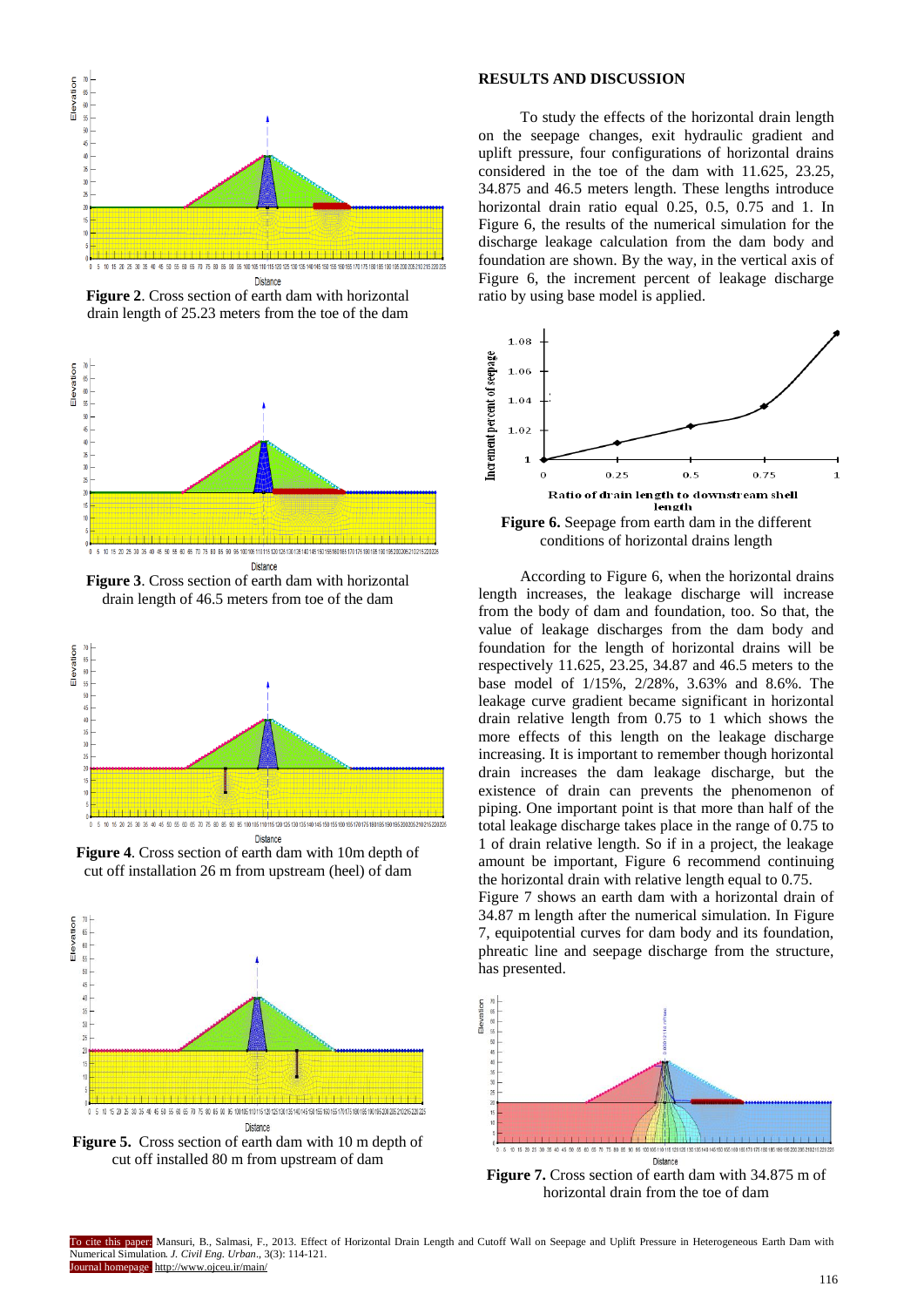

**Figure 2**. Cross section of earth dam with horizontal drain length of 25.23 meters from the toe of the dam



**Figure 3**. Cross section of earth dam with horizontal drain length of 46.5 meters from toe of the dam



**Figure 4**. Cross section of earth dam with 10m depth of cut off installation 26 m from upstream (heel) of dam



**Figure 5.** Cross section of earth dam with 10 m depth of cut off installed 80 m from upstream of dam

# **RESULTS AND DISCUSSION**

To study the effects of the horizontal drain length on the seepage changes, exit hydraulic gradient and uplift pressure, four configurations of horizontal drains considered in the toe of the dam with 11.625, 23.25, 34.875 and 46.5 meters length. These lengths introduce horizontal drain ratio equal 0.25, 0.5, 0.75 and 1. In Figure 6, the results of the numerical simulation for the discharge leakage calculation from the dam body and foundation are shown. By the way, in the vertical axis of Figure 6, the increment percent of leakage discharge ratio by using base model is applied.



conditions of horizontal drains length

According to Figure 6, when the horizontal drains length increases, the leakage discharge will increase from the body of dam and foundation, too. So that, the value of leakage discharges from the dam body and foundation for the length of horizontal drains will be respectively 11.625, 23.25, 34.87 and 46.5 meters to the base model of 1/15%, 2/28%, 3.63% and 8.6%. The leakage curve gradient became significant in horizontal drain relative length from 0.75 to 1 which shows the more effects of this length on the leakage discharge increasing. It is important to remember though horizontal drain increases the dam leakage discharge, but the existence of drain can prevents the phenomenon of piping. One important point is that more than half of the total leakage discharge takes place in the range of 0.75 to 1 of drain relative length. So if in a project, the leakage amount be important, Figure 6 recommend continuing the horizontal drain with relative length equal to 0.75.

Figure 7 shows an earth dam with a horizontal drain of 34.87 m length after the numerical simulation. In Figure 7, equipotential curves for dam body and its foundation, phreatic line and seepage discharge from the structure, has presented.



**Figure 7.** Cross section of earth dam with 34.875 m of horizontal drain from the toe of dam

To cite this paper: Mansuri, B., Salmasi, F., 2013. Effect of Horizontal Drain Length and Cutoff Wall on Seepage and Uplift Pressure in Heterogeneous Earth Dam with Numerical Simulation. *J. Civil Eng. Urban*., 3(3): 114-121. Journal homepage: http://www.ojceu.ir/main/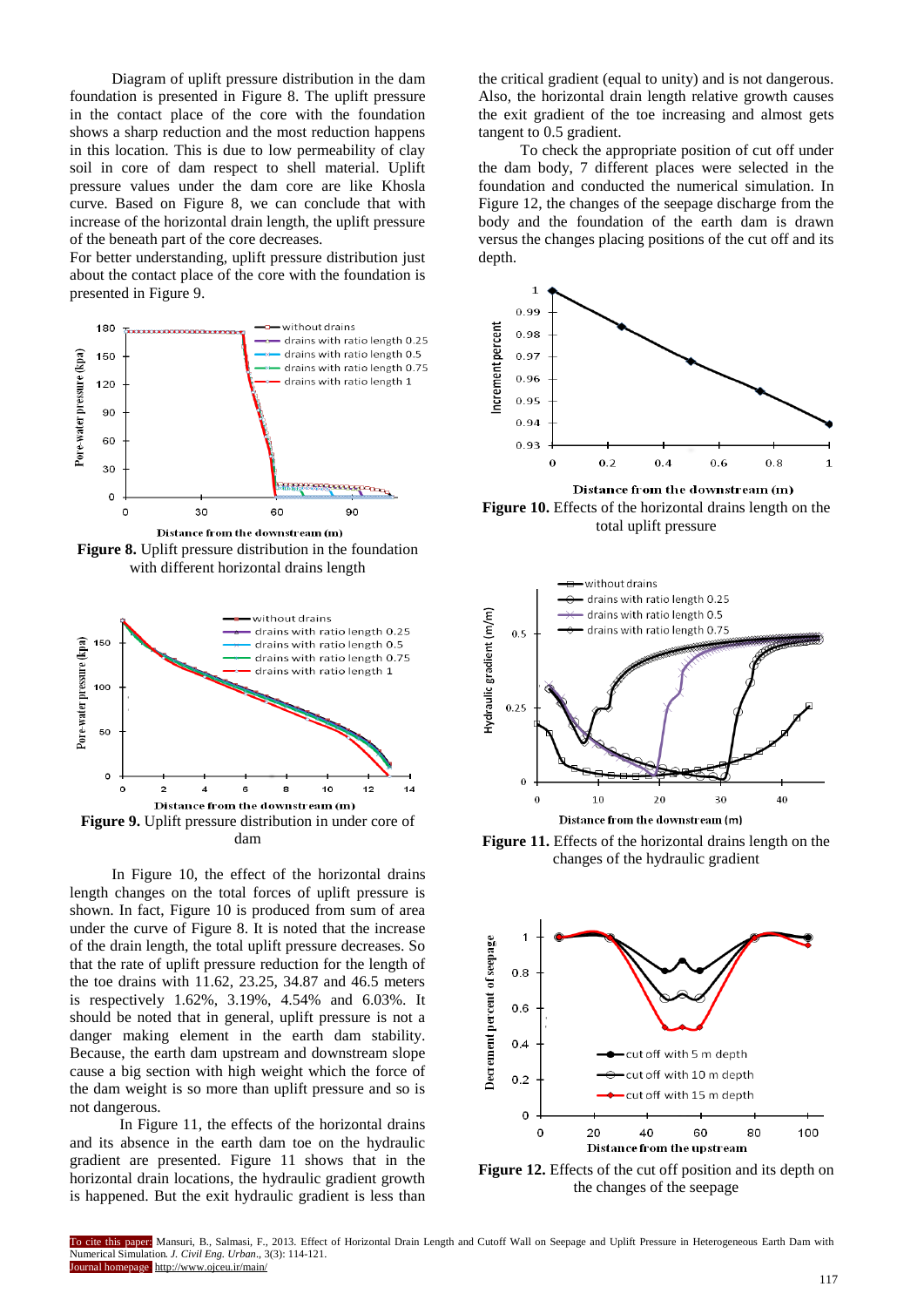Diagram of uplift pressure distribution in the dam foundation is presented in Figure 8. The uplift pressure in the contact place of the core with the foundation shows a sharp reduction and the most reduction happens in this location. This is due to low permeability of clay soil in core of dam respect to shell material. Uplift pressure values under the dam core are like Khosla curve. Based on Figure 8, we can conclude that with increase of the horizontal drain length, the uplift pressure of the beneath part of the core decreases.

For better understanding, uplift pressure distribution just about the contact place of the core with the foundation is presented in Figure 9.



**Figure 8.** Uplift pressure distribution in the foundation with different horizontal drains length



dam

In Figure 10, the effect of the horizontal drains length changes on the total forces of uplift pressure is shown. In fact, Figure 10 is produced from sum of area under the curve of Figure 8. It is noted that the increase of the drain length, the total uplift pressure decreases. So that the rate of uplift pressure reduction for the length of the toe drains with 11.62, 23.25, 34.87 and 46.5 meters is respectively 1.62%, 3.19%, 4.54% and 6.03%. It should be noted that in general, uplift pressure is not a danger making element in the earth dam stability. Because, the earth dam upstream and downstream slope cause a big section with high weight which the force of the dam weight is so more than uplift pressure and so is not dangerous.

 In Figure 11, the effects of the horizontal drains and its absence in the earth dam toe on the hydraulic gradient are presented. Figure 11 shows that in the horizontal drain locations, the hydraulic gradient growth is happened. But the exit hydraulic gradient is less than the critical gradient (equal to unity) and is not dangerous. Also, the horizontal drain length relative growth causes the exit gradient of the toe increasing and almost gets tangent to 0.5 gradient.

To check the appropriate position of cut off under the dam body, 7 different places were selected in the foundation and conducted the numerical simulation. In Figure 12, the changes of the seepage discharge from the body and the foundation of the earth dam is drawn versus the changes placing positions of the cut off and its depth.



**Figure 10.** Effects of the horizontal drains length on the total uplift pressure



**Figure 11.** Effects of the horizontal drains length on the changes of the hydraulic gradient



**Figure 12.** Effects of the cut off position and its depth on the changes of the seepage

To cite this paper: Mansuri, B., Salmasi, F., 2013. Effect of Horizontal Drain Length and Cutoff Wall on Seepage and Uplift Pressure in Heterogeneous Earth Dam with Numerical Simulation. *J. Civil Eng. Urban*., 3(3): 114-121. urnal homepage http://www.ojceu.ir/main/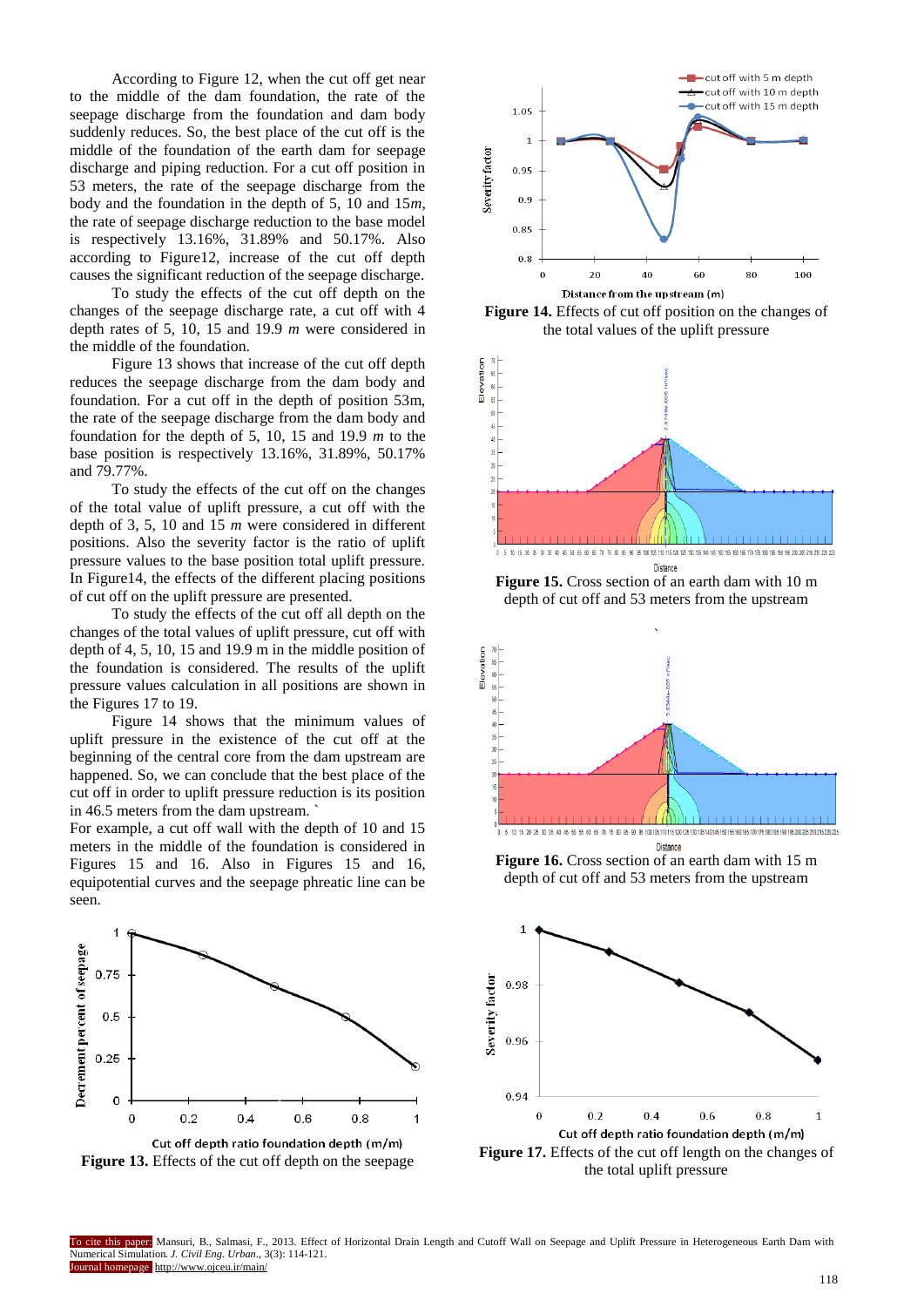According to Figure 12, when the cut off get near to the middle of the dam foundation, the rate of the seepage discharge from the foundation and dam body suddenly reduces. So, the best place of the cut off is the middle of the foundation of the earth dam for seepage discharge and piping reduction. For a cut off position in 53 meters, the rate of the seepage discharge from the body and the foundation in the depth of 5, 10 and 15*m*, the rate of seepage discharge reduction to the base model is respectively 13.16%, 31.89% and 50.17%. Also according to Figure12, increase of the cut off depth causes the significant reduction of the seepage discharge.

To study the effects of the cut off depth on the changes of the seepage discharge rate, a cut off with 4 depth rates of 5, 10, 15 and 19.9 *m* were considered in the middle of the foundation.

Figure 13 shows that increase of the cut off depth reduces the seepage discharge from the dam body and foundation. For a cut off in the depth of position 53m, the rate of the seepage discharge from the dam body and foundation for the depth of 5, 10, 15 and 19.9 *m* to the base position is respectively 13.16%, 31.89%, 50.17% and 79.77%.

To study the effects of the cut off on the changes of the total value of uplift pressure, a cut off with the depth of 3, 5, 10 and 15 *m* were considered in different positions. Also the severity factor is the ratio of uplift pressure values to the base position total uplift pressure. In Figure14, the effects of the different placing positions of cut off on the uplift pressure are presented.

To study the effects of the cut off all depth on the changes of the total values of uplift pressure, cut off with depth of 4, 5, 10, 15 and 19.9 m in the middle position of the foundation is considered. The results of the uplift pressure values calculation in all positions are shown in the Figures 17 to 19.

Figure 14 shows that the minimum values of uplift pressure in the existence of the cut off at the beginning of the central core from the dam upstream are happened. So, we can conclude that the best place of the cut off in order to uplift pressure reduction is its position in 46.5 meters from the dam upstream. `

For example, a cut off wall with the depth of 10 and 15 meters in the middle of the foundation is considered in Figures 15 and 16. Also in Figures 15 and 16, equipotential curves and the seepage phreatic line can be seen.



**Figure 13.** Effects of the cut off depth on the seepage



**Figure 14.** Effects of cut off position on the changes of the total values of the uplift pressure



**Figure 15.** Cross section of an earth dam with 10 m depth of cut off and 53 meters from the upstream



**Figure 16.** Cross section of an earth dam with 15 m depth of cut off and 53 meters from the upstream



the total uplift pressure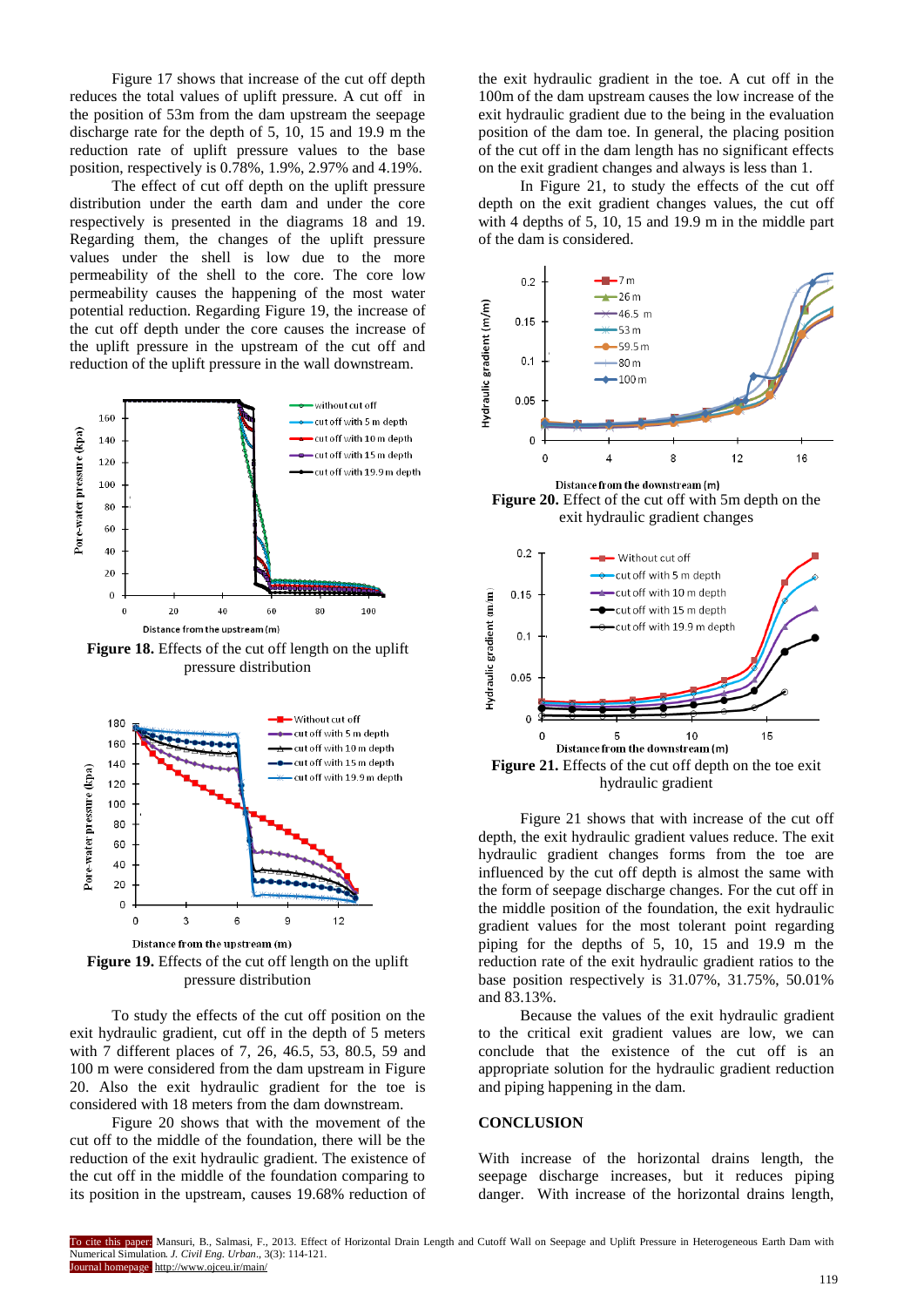Figure 17 shows that increase of the cut off depth reduces the total values of uplift pressure. A cut off in the position of 53m from the dam upstream the seepage discharge rate for the depth of 5, 10, 15 and 19.9 m the reduction rate of uplift pressure values to the base position, respectively is 0.78%, 1.9%, 2.97% and 4.19%.

The effect of cut off depth on the uplift pressure distribution under the earth dam and under the core respectively is presented in the diagrams 18 and 19. Regarding them, the changes of the uplift pressure values under the shell is low due to the more permeability of the shell to the core. The core low permeability causes the happening of the most water potential reduction. Regarding Figure 19, the increase of the cut off depth under the core causes the increase of the uplift pressure in the upstream of the cut off and reduction of the uplift pressure in the wall downstream.



**Figure 18.** Effects of the cut off length on the uplift pressure distribution



Distance from the upstream (m) **Figure 19.** Effects of the cut off length on the uplift pressure distribution

To study the effects of the cut off position on the exit hydraulic gradient, cut off in the depth of 5 meters with 7 different places of 7, 26, 46.5, 53, 80.5, 59 and 100 m were considered from the dam upstream in Figure 20. Also the exit hydraulic gradient for the toe is considered with 18 meters from the dam downstream.

Figure 20 shows that with the movement of the cut off to the middle of the foundation, there will be the reduction of the exit hydraulic gradient. The existence of the cut off in the middle of the foundation comparing to its position in the upstream, causes 19.68% reduction of the exit hydraulic gradient in the toe. A cut off in the 100m of the dam upstream causes the low increase of the exit hydraulic gradient due to the being in the evaluation position of the dam toe. In general, the placing position of the cut off in the dam length has no significant effects on the exit gradient changes and always is less than 1.

In Figure 21, to study the effects of the cut off depth on the exit gradient changes values, the cut off with 4 depths of 5, 10, 15 and 19.9 m in the middle part of the dam is considered.



**Figure 20.** Effect of the cut off with 5m depth on the exit hydraulic gradient changes



Figure 21 shows that with increase of the cut off depth, the exit hydraulic gradient values reduce. The exit hydraulic gradient changes forms from the toe are influenced by the cut off depth is almost the same with the form of seepage discharge changes. For the cut off in the middle position of the foundation, the exit hydraulic gradient values for the most tolerant point regarding piping for the depths of 5, 10, 15 and 19.9 m the reduction rate of the exit hydraulic gradient ratios to the base position respectively is 31.07%, 31.75%, 50.01% and 83.13%.

Because the values of the exit hydraulic gradient to the critical exit gradient values are low, we can conclude that the existence of the cut off is an appropriate solution for the hydraulic gradient reduction and piping happening in the dam.

#### **CONCLUSION**

With increase of the horizontal drains length, the seepage discharge increases, but it reduces piping danger. With increase of the horizontal drains length,